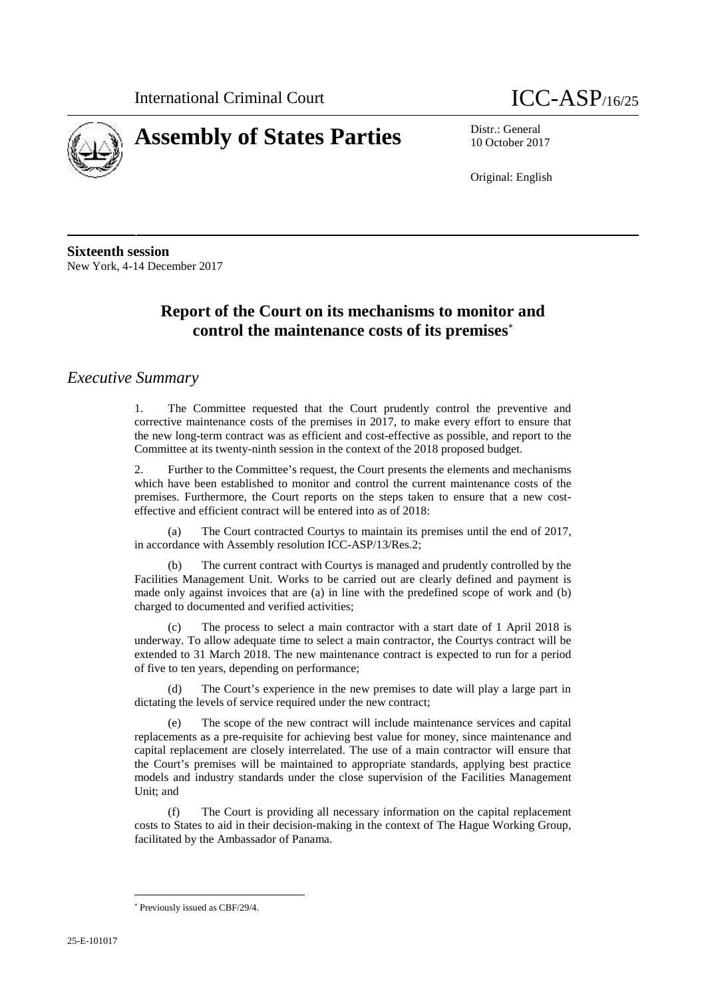



10 October 2017

Original: English

**Sixteenth session** New York, 4-14 December 2017

# **Report of the Court on its mechanisms to monitor and control the maintenance costs of its premises**

#### *Executive Summary*

1. The Committee requested that the Court prudently control the preventive and corrective maintenance costs of the premises in 2017, to make every effort to ensure that the new long-term contract was as efficient and cost-effective as possible, and report to the Committee at its twenty-ninth session in the context of the 2018 proposed budget.

2. Further to the Committee's request, the Court presents the elements and mechanisms which have been established to monitor and control the current maintenance costs of the premises. Furthermore, the Court reports on the steps taken to ensure that a new cost effective and efficient contract will be entered into as of 2018:

The Court contracted Courtys to maintain its premises until the end of 2017, in accordance with Assembly resolution ICC-ASP/13/Res.2;

(b) The current contract with Courtys is managed and prudently controlled by the Facilities Management Unit. Works to be carried out are clearly defined and payment is made only against invoices that are (a) in line with the predefined scope of work and (b) charged to documented and verified activities;

(c) The process to select a main contractor with a start date of 1 April 2018 is underway. To allow adequate time to select a main contractor, the Courtys contract will be extended to 31 March 2018. The new maintenance contract is expected to run for a period of five to ten years, depending on performance;

The Court's experience in the new premises to date will play a large part in dictating the levels of service required under the new contract;

(e) The scope of the new contract will include maintenance services and capital replacements as a pre-requisite for achieving best value for money, since maintenance and capital replacement are closely interrelated. The use of a main contractor will ensure that the Court's premises will be maintained to appropriate standards, applying best practice models and industry standards under the close supervision of the Facilities Management Unit; and

(f) The Court is providing all necessary information on the capital replacement costs to States to aid in their decision-making in the context of The Hague Working Group, facilitated by the Ambassador of Panama.

Previously issued as CBF/29/4.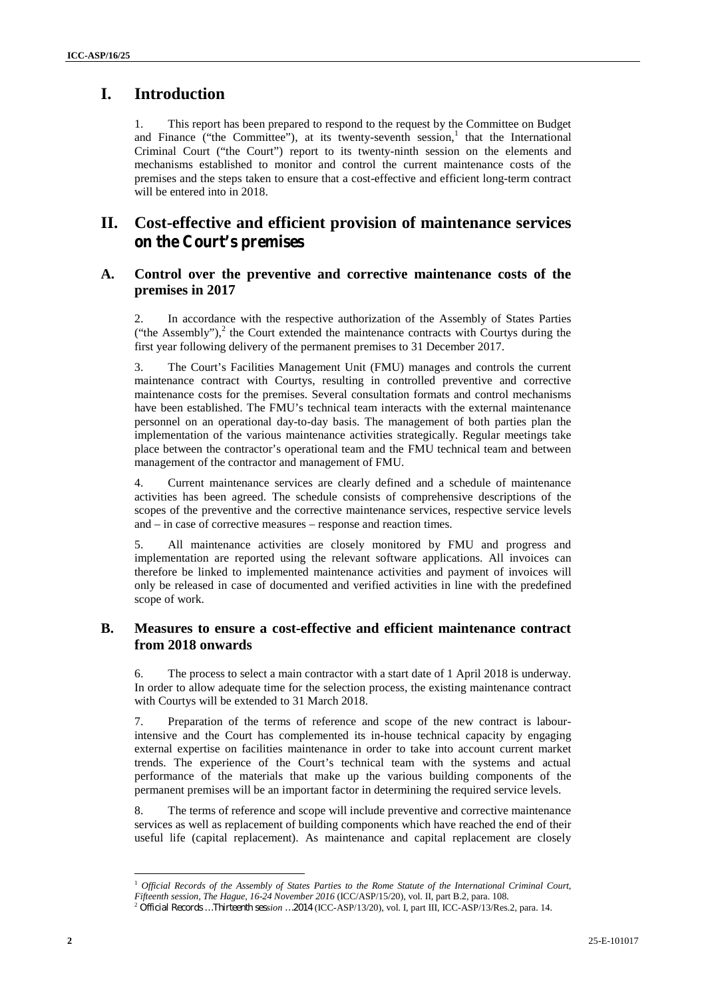## **I. Introduction**

1. This report has been prepared to respond to the request by the Committee on Budget and Finance ("the Committee"), at its twenty-seventh session, $<sup>1</sup>$  that the International</sup> Criminal Court ("the Court") report to its twenty-ninth session on the elements and mechanisms established to monitor and control the current maintenance costs of the premises and the steps taken to ensure that a cost-effective and efficient long-term contract will be entered into in 2018.

### **II. Cost-effective and efficient provision of maintenance services on the Court's premises**

#### **A. Control over the preventive and corrective maintenance costs of the premises in 2017**

2. In accordance with the respective authorization of the Assembly of States Parties ("the Assembly"), $^2$  the Court extended the maintenance contracts with Courtys during the first year following delivery of the permanent premises to 31 December 2017.

3. The Court's Facilities Management Unit (FMU) manages and controls the current maintenance contract with Courtys, resulting in controlled preventive and corrective maintenance costs for the premises. Several consultation formats and control mechanisms have been established. The FMU's technical team interacts with the external maintenance personnel on an operational day-to-day basis. The management of both parties plan the implementation of the various maintenance activities strategically. Regular meetings take place between the contractor's operational team and the FMU technical team and between management of the contractor and management of FMU.

4. Current maintenance services are clearly defined and a schedule of maintenance activities has been agreed. The schedule consists of comprehensive descriptions of the scopes of the preventive and the corrective maintenance services, respective service levels and – in case of corrective measures – response and reaction times.

5. All maintenance activities are closely monitored by FMU and progress and implementation are reported using the relevant software applications. All invoices can therefore be linked to implemented maintenance activities and payment of invoices will only be released in case of documented and verified activities in line with the predefined scope of work.

### **B. Measures to ensure a cost-effective and efficient maintenance contract from 2018 onwards**

6. The process to select a main contractor with a start date of 1 April 2018 is underway. In order to allow adequate time for the selection process, the existing maintenance contract with Courtys will be extended to 31 March 2018.

7. Preparation of the terms of reference and scope of the new contract is labourintensive and the Court has complemented its in-house technical capacity by engaging external expertise on facilities maintenance in order to take into account current market trends. The experience of the Court's technical team with the systems and actual performance of the materials that make up the various building components of the permanent premises will be an important factor in determining the required service levels.

8. The terms of reference and scope will include preventive and corrective maintenance services as well as replacement of building components which have reached the end of their useful life (capital replacement). As maintenance and capital replacement are closely

<sup>1</sup> *Official Records of the Assembly of States Parties to the Rome Statute of the International Criminal Court,*

Fifteenth session, The Hague, 16-24 November 2016 (ICC/ASP/15/20), vol. II, part B.2, para. 108.<br><sup>2</sup> Official Records ...Thirteenth session ...2014 (ICC-ASP/13/20), vol. I, part III, ICC-ASP/13/Res.2, para. 14.